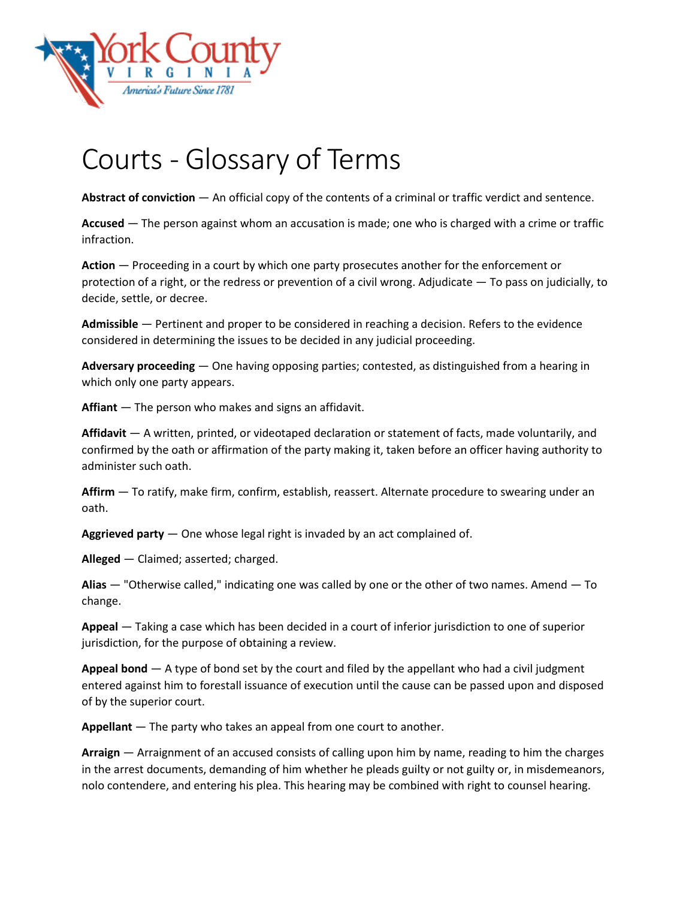

## Courts - Glossary of Terms

**Abstract of conviction** — An official copy of the contents of a criminal or traffic verdict and sentence.

**Accused** — The person against whom an accusation is made; one who is charged with a crime or traffic infraction.

**Action** — Proceeding in a court by which one party prosecutes another for the enforcement or protection of a right, or the redress or prevention of a civil wrong. Adjudicate — To pass on judicially, to decide, settle, or decree.

**Admissible** — Pertinent and proper to be considered in reaching a decision. Refers to the evidence considered in determining the issues to be decided in any judicial proceeding.

**Adversary proceeding** — One having opposing parties; contested, as distinguished from a hearing in which only one party appears.

**Affiant** — The person who makes and signs an affidavit.

**Affidavit** — A written, printed, or videotaped declaration or statement of facts, made voluntarily, and confirmed by the oath or affirmation of the party making it, taken before an officer having authority to administer such oath.

**Affirm** — To ratify, make firm, confirm, establish, reassert. Alternate procedure to swearing under an oath.

**Aggrieved party** — One whose legal right is invaded by an act complained of.

**Alleged** — Claimed; asserted; charged.

**Alias** — "Otherwise called," indicating one was called by one or the other of two names. Amend — To change.

**Appeal** — Taking a case which has been decided in a court of inferior jurisdiction to one of superior jurisdiction, for the purpose of obtaining a review.

**Appeal bond** — A type of bond set by the court and filed by the appellant who had a civil judgment entered against him to forestall issuance of execution until the cause can be passed upon and disposed of by the superior court.

**Appellant** — The party who takes an appeal from one court to another.

**Arraign** — Arraignment of an accused consists of calling upon him by name, reading to him the charges in the arrest documents, demanding of him whether he pleads guilty or not guilty or, in misdemeanors, nolo contendere, and entering his plea. This hearing may be combined with right to counsel hearing.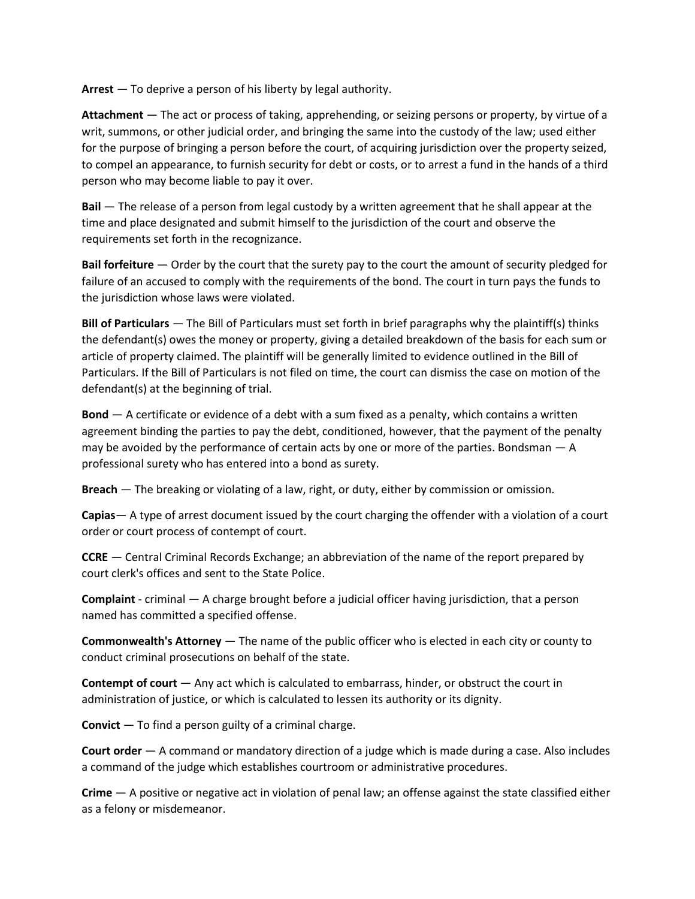**Arrest** — To deprive a person of his liberty by legal authority.

**Attachment** — The act or process of taking, apprehending, or seizing persons or property, by virtue of a writ, summons, or other judicial order, and bringing the same into the custody of the law; used either for the purpose of bringing a person before the court, of acquiring jurisdiction over the property seized, to compel an appearance, to furnish security for debt or costs, or to arrest a fund in the hands of a third person who may become liable to pay it over.

**Bail** — The release of a person from legal custody by a written agreement that he shall appear at the time and place designated and submit himself to the jurisdiction of the court and observe the requirements set forth in the recognizance.

**Bail forfeiture** — Order by the court that the surety pay to the court the amount of security pledged for failure of an accused to comply with the requirements of the bond. The court in turn pays the funds to the jurisdiction whose laws were violated.

**Bill of Particulars** — The Bill of Particulars must set forth in brief paragraphs why the plaintiff(s) thinks the defendant(s) owes the money or property, giving a detailed breakdown of the basis for each sum or article of property claimed. The plaintiff will be generally limited to evidence outlined in the Bill of Particulars. If the Bill of Particulars is not filed on time, the court can dismiss the case on motion of the defendant(s) at the beginning of trial.

**Bond** — A certificate or evidence of a debt with a sum fixed as a penalty, which contains a written agreement binding the parties to pay the debt, conditioned, however, that the payment of the penalty may be avoided by the performance of certain acts by one or more of the parties. Bondsman — A professional surety who has entered into a bond as surety.

**Breach** — The breaking or violating of a law, right, or duty, either by commission or omission.

**Capias**— A type of arrest document issued by the court charging the offender with a violation of a court order or court process of contempt of court.

**CCRE** — Central Criminal Records Exchange; an abbreviation of the name of the report prepared by court clerk's offices and sent to the State Police.

**Complaint** - criminal — A charge brought before a judicial officer having jurisdiction, that a person named has committed a specified offense.

**Commonwealth's Attorney** — The name of the public officer who is elected in each city or county to conduct criminal prosecutions on behalf of the state.

**Contempt of court** — Any act which is calculated to embarrass, hinder, or obstruct the court in administration of justice, or which is calculated to lessen its authority or its dignity.

**Convict** — To find a person guilty of a criminal charge.

**Court order** — A command or mandatory direction of a judge which is made during a case. Also includes a command of the judge which establishes courtroom or administrative procedures.

**Crime** — A positive or negative act in violation of penal law; an offense against the state classified either as a felony or misdemeanor.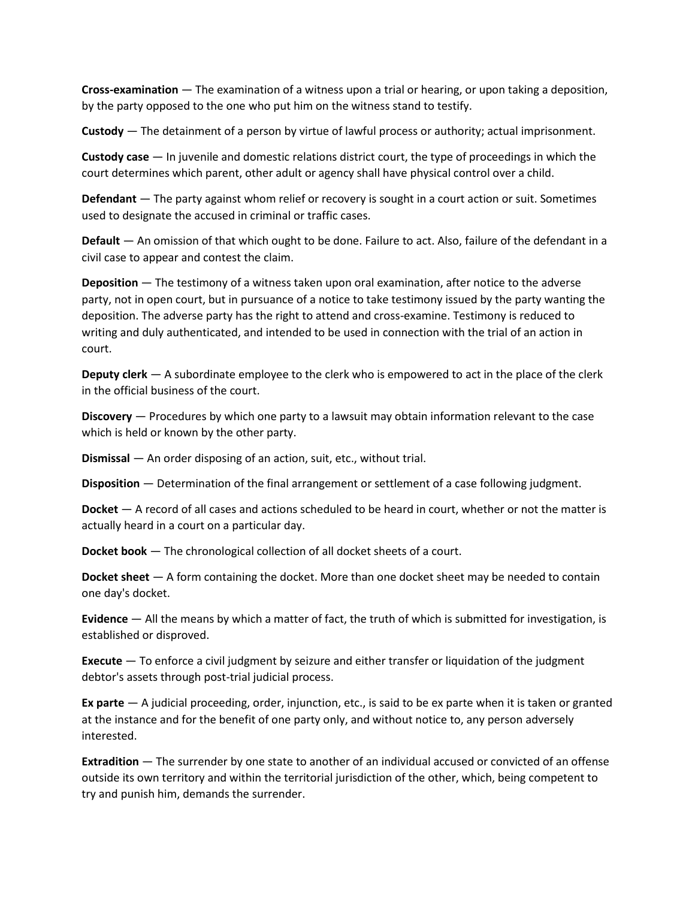**Cross-examination** — The examination of a witness upon a trial or hearing, or upon taking a deposition, by the party opposed to the one who put him on the witness stand to testify.

**Custody** — The detainment of a person by virtue of lawful process or authority; actual imprisonment.

**Custody case** — In juvenile and domestic relations district court, the type of proceedings in which the court determines which parent, other adult or agency shall have physical control over a child.

**Defendant** — The party against whom relief or recovery is sought in a court action or suit. Sometimes used to designate the accused in criminal or traffic cases.

**Default** — An omission of that which ought to be done. Failure to act. Also, failure of the defendant in a civil case to appear and contest the claim.

**Deposition** — The testimony of a witness taken upon oral examination, after notice to the adverse party, not in open court, but in pursuance of a notice to take testimony issued by the party wanting the deposition. The adverse party has the right to attend and cross-examine. Testimony is reduced to writing and duly authenticated, and intended to be used in connection with the trial of an action in court.

**Deputy clerk** — A subordinate employee to the clerk who is empowered to act in the place of the clerk in the official business of the court.

**Discovery** — Procedures by which one party to a lawsuit may obtain information relevant to the case which is held or known by the other party.

**Dismissal** — An order disposing of an action, suit, etc., without trial.

**Disposition** — Determination of the final arrangement or settlement of a case following judgment.

**Docket** — A record of all cases and actions scheduled to be heard in court, whether or not the matter is actually heard in a court on a particular day.

**Docket book** — The chronological collection of all docket sheets of a court.

**Docket sheet** — A form containing the docket. More than one docket sheet may be needed to contain one day's docket.

**Evidence** — All the means by which a matter of fact, the truth of which is submitted for investigation, is established or disproved.

**Execute** — To enforce a civil judgment by seizure and either transfer or liquidation of the judgment debtor's assets through post-trial judicial process.

**Ex parte** — A judicial proceeding, order, injunction, etc., is said to be ex parte when it is taken or granted at the instance and for the benefit of one party only, and without notice to, any person adversely interested.

**Extradition** — The surrender by one state to another of an individual accused or convicted of an offense outside its own territory and within the territorial jurisdiction of the other, which, being competent to try and punish him, demands the surrender.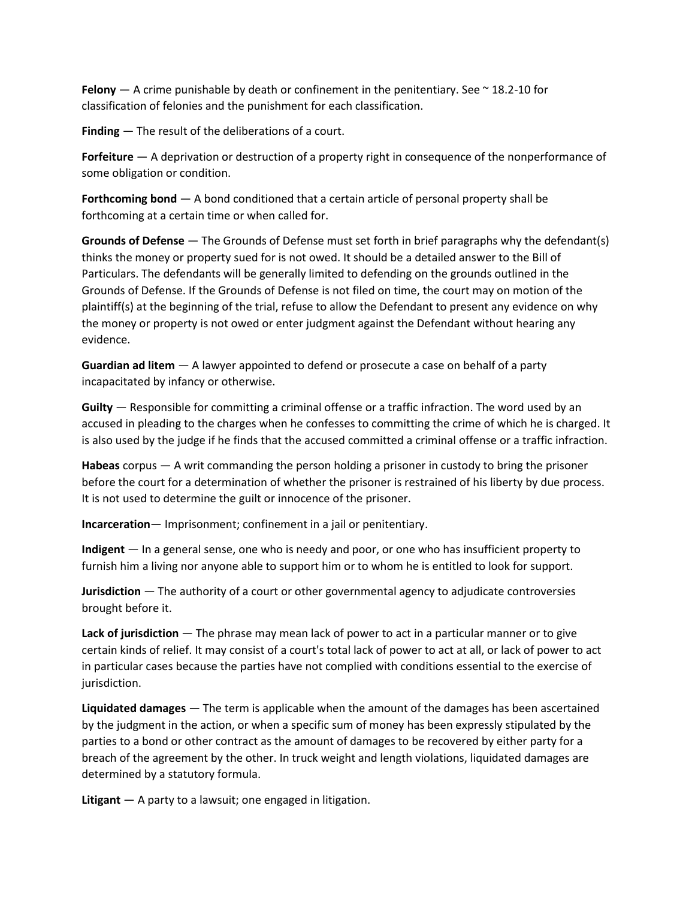**Felony**  $-$  A crime punishable by death or confinement in the penitentiary. See  $\sim$  18.2-10 for classification of felonies and the punishment for each classification.

**Finding** — The result of the deliberations of a court.

**Forfeiture** — A deprivation or destruction of a property right in consequence of the nonperformance of some obligation or condition.

**Forthcoming bond** — A bond conditioned that a certain article of personal property shall be forthcoming at a certain time or when called for.

**Grounds of Defense** — The Grounds of Defense must set forth in brief paragraphs why the defendant(s) thinks the money or property sued for is not owed. It should be a detailed answer to the Bill of Particulars. The defendants will be generally limited to defending on the grounds outlined in the Grounds of Defense. If the Grounds of Defense is not filed on time, the court may on motion of the plaintiff(s) at the beginning of the trial, refuse to allow the Defendant to present any evidence on why the money or property is not owed or enter judgment against the Defendant without hearing any evidence.

**Guardian ad litem** — A lawyer appointed to defend or prosecute a case on behalf of a party incapacitated by infancy or otherwise.

**Guilty** — Responsible for committing a criminal offense or a traffic infraction. The word used by an accused in pleading to the charges when he confesses to committing the crime of which he is charged. It is also used by the judge if he finds that the accused committed a criminal offense or a traffic infraction.

**Habeas** corpus — A writ commanding the person holding a prisoner in custody to bring the prisoner before the court for a determination of whether the prisoner is restrained of his liberty by due process. It is not used to determine the guilt or innocence of the prisoner.

**Incarceration**— Imprisonment; confinement in a jail or penitentiary.

**Indigent** — In a general sense, one who is needy and poor, or one who has insufficient property to furnish him a living nor anyone able to support him or to whom he is entitled to look for support.

**Jurisdiction** — The authority of a court or other governmental agency to adjudicate controversies brought before it.

**Lack of jurisdiction** — The phrase may mean lack of power to act in a particular manner or to give certain kinds of relief. It may consist of a court's total lack of power to act at all, or lack of power to act in particular cases because the parties have not complied with conditions essential to the exercise of jurisdiction.

**Liquidated damages** — The term is applicable when the amount of the damages has been ascertained by the judgment in the action, or when a specific sum of money has been expressly stipulated by the parties to a bond or other contract as the amount of damages to be recovered by either party for a breach of the agreement by the other. In truck weight and length violations, liquidated damages are determined by a statutory formula.

**Litigant** — A party to a lawsuit; one engaged in litigation.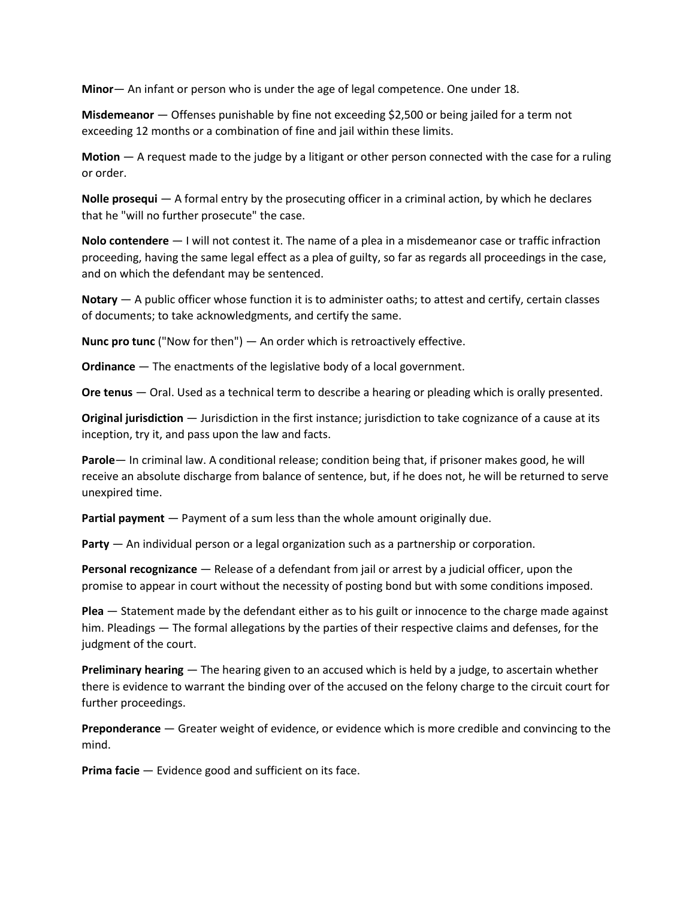**Minor**— An infant or person who is under the age of legal competence. One under 18.

**Misdemeanor** — Offenses punishable by fine not exceeding \$2,500 or being jailed for a term not exceeding 12 months or a combination of fine and jail within these limits.

**Motion** — A request made to the judge by a litigant or other person connected with the case for a ruling or order.

**Nolle prosequi** — A formal entry by the prosecuting officer in a criminal action, by which he declares that he "will no further prosecute" the case.

**Nolo contendere** — I will not contest it. The name of a plea in a misdemeanor case or traffic infraction proceeding, having the same legal effect as a plea of guilty, so far as regards all proceedings in the case, and on which the defendant may be sentenced.

**Notary** — A public officer whose function it is to administer oaths; to attest and certify, certain classes of documents; to take acknowledgments, and certify the same.

**Nunc pro tunc** ("Now for then") — An order which is retroactively effective.

**Ordinance** — The enactments of the legislative body of a local government.

**Ore tenus** — Oral. Used as a technical term to describe a hearing or pleading which is orally presented.

**Original jurisdiction** — Jurisdiction in the first instance; jurisdiction to take cognizance of a cause at its inception, try it, and pass upon the law and facts.

**Parole**— In criminal law. A conditional release; condition being that, if prisoner makes good, he will receive an absolute discharge from balance of sentence, but, if he does not, he will be returned to serve unexpired time.

**Partial payment** — Payment of a sum less than the whole amount originally due.

**Party** — An individual person or a legal organization such as a partnership or corporation.

**Personal recognizance** — Release of a defendant from jail or arrest by a judicial officer, upon the promise to appear in court without the necessity of posting bond but with some conditions imposed.

**Plea** — Statement made by the defendant either as to his guilt or innocence to the charge made against him. Pleadings — The formal allegations by the parties of their respective claims and defenses, for the judgment of the court.

**Preliminary hearing** — The hearing given to an accused which is held by a judge, to ascertain whether there is evidence to warrant the binding over of the accused on the felony charge to the circuit court for further proceedings.

**Preponderance** — Greater weight of evidence, or evidence which is more credible and convincing to the mind.

**Prima facie** — Evidence good and sufficient on its face.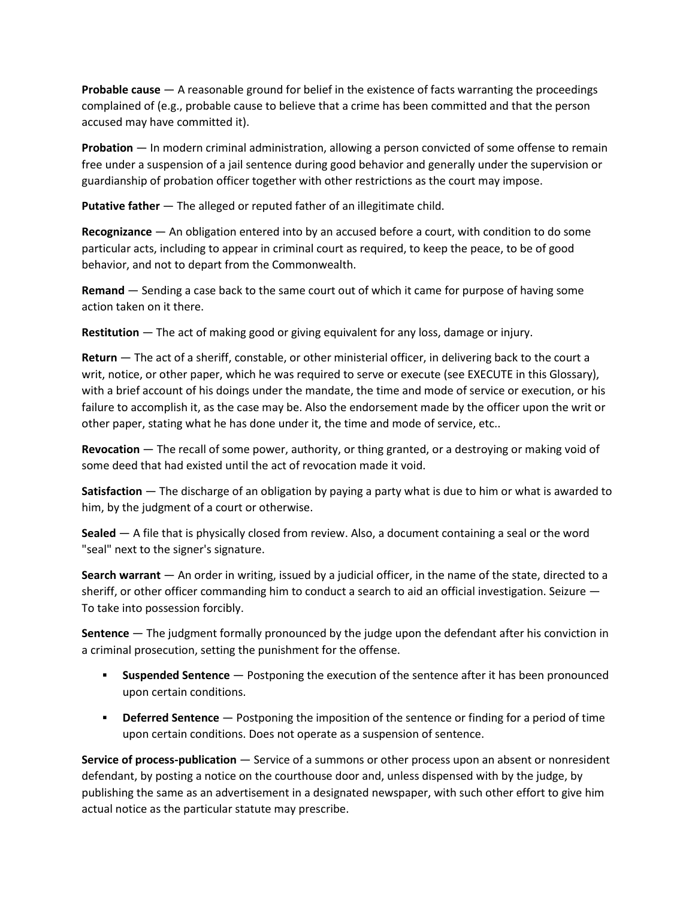**Probable cause** — A reasonable ground for belief in the existence of facts warranting the proceedings complained of (e.g., probable cause to believe that a crime has been committed and that the person accused may have committed it).

**Probation** — In modern criminal administration, allowing a person convicted of some offense to remain free under a suspension of a jail sentence during good behavior and generally under the supervision or guardianship of probation officer together with other restrictions as the court may impose.

**Putative father** — The alleged or reputed father of an illegitimate child.

**Recognizance** — An obligation entered into by an accused before a court, with condition to do some particular acts, including to appear in criminal court as required, to keep the peace, to be of good behavior, and not to depart from the Commonwealth.

**Remand** — Sending a case back to the same court out of which it came for purpose of having some action taken on it there.

**Restitution** — The act of making good or giving equivalent for any loss, damage or injury.

**Return** — The act of a sheriff, constable, or other ministerial officer, in delivering back to the court a writ, notice, or other paper, which he was required to serve or execute (see EXECUTE in this Glossary), with a brief account of his doings under the mandate, the time and mode of service or execution, or his failure to accomplish it, as the case may be. Also the endorsement made by the officer upon the writ or other paper, stating what he has done under it, the time and mode of service, etc..

**Revocation** — The recall of some power, authority, or thing granted, or a destroying or making void of some deed that had existed until the act of revocation made it void.

**Satisfaction** — The discharge of an obligation by paying a party what is due to him or what is awarded to him, by the judgment of a court or otherwise.

**Sealed** — A file that is physically closed from review. Also, a document containing a seal or the word "seal" next to the signer's signature.

**Search warrant** — An order in writing, issued by a judicial officer, in the name of the state, directed to a sheriff, or other officer commanding him to conduct a search to aid an official investigation. Seizure — To take into possession forcibly.

**Sentence** — The judgment formally pronounced by the judge upon the defendant after his conviction in a criminal prosecution, setting the punishment for the offense.

- **Suspended Sentence** Postponing the execution of the sentence after it has been pronounced upon certain conditions.
- **Deferred Sentence** Postponing the imposition of the sentence or finding for a period of time upon certain conditions. Does not operate as a suspension of sentence.

**Service of process-publication** — Service of a summons or other process upon an absent or nonresident defendant, by posting a notice on the courthouse door and, unless dispensed with by the judge, by publishing the same as an advertisement in a designated newspaper, with such other effort to give him actual notice as the particular statute may prescribe.